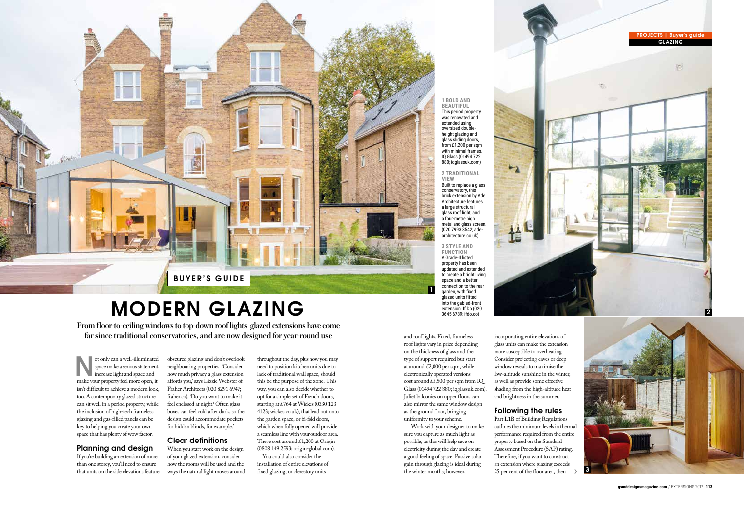**1 BOLD AND BEAUTIFUL** This period property was renovated and extended using oversized doubleheight glazing and glass sliding doors, from £1,200 per sqm with minimal frames. IQ Glass (01494 722 880; iqglassuk.com)

#### **2 TRADITIONAL VIEW**

 $\mathbf{r}_1$ 

Built to replace a glass conservatory, this brick extension by Ade Architecture features a large structural glass roof light, and a four-metre high metal and glass screen. (020 7993 8542; adearchitecture.co.uk)

**3 STYLE AND FUNCTION** A Grade-II listed property has been updated and extended to create a bright living space and a better connection to the rear garden, with fixed glazed units fitted into the gabled-front extension. If Do (020 3645 6789; ifdo.co)



# **MODERN GLAZING**

*From floor-to-ceiling windows to top-down roof lights, glazed extensions have come far since traditional conservatories, and are now designed for year-round use*

**N**ot only can a well-illuminated space make a serious statement, increase light and space and make your property feel more open, it isn't difficult to achieve a modern look, too. A contemporary glazed structure can sit well in a period property, while the inclusion of high-tech frameless glazing and gas-filled panels can be key to helping you create your own space that has plenty of wow factor.

### **Planning and design**

If you're building an extension of more than one storey, you'll need to ensure that units on the side elevations feature obscured glazing and don't overlook neighbouring properties. 'Consider how much privacy a glass extension affords you,' says Lizzie Webster of Fraher Architects (020 8291 6947; fraher.co). 'Do you want to make it feel enclosed at night? Often glass boxes can feel cold after dark, so the design could accommodate pockets for hidden blinds, for example.'

# **Clear definitions**

When you start work on the design of your glazed extension, consider how the rooms will be used and the ways the natural light moves around

throughout the day, plus how you may need to position kitchen units due to lack of traditional wall space, should this be the purpose of the zone. This way, you can also decide whether to opt for a simple set of French doors, starting at £764 at Wickes (0330 123 4123; wickes.co.uk), that lead out onto the garden space, or bi-fold doors, which when fully opened will provide a seamless line with your outdoor area. These cost around £1,200 at Origin (0808 149 2593; origin-global.com).



You could also consider the installation of entire elevations of fixed glazing, or clerestory units

and roof lights. Fixed, frameless roof lights vary in price depending on the thickness of glass and the type of support required but start at around  $\text{\pounds}2,000$  per sqm, while electronically operated versions cost around £5,500 per sqm from IQ Glass (01494 722 880; iqglassuk.com). Juliet balconies on upper floors can also mirror the same window design as the ground floor, bringing uniformity to your scheme.

Work with your designer to make sure you capture as much light as possible, as this will help save on electricity during the day and create a good feeling of space. Passive solar gain through glazing is ideal during the winter months; however,

incorporating entire elevations of glass units can make the extension more susceptible to overheating. Consider projecting eaves or deep window reveals to maximise the low-altitude sunshine in the winter, as well as provide some effective shading from the high-altitude heat and brightness in the summer.

# **Following the rules**

Part L1B of Building Regulations outlines the minimum levels in thermal performance required from the entire property based on the Standard Assessment Procedure (SAP) rating. Therefore, if you want to construct an extension where glazing exceeds 25 per cent of the floor area, then

**1**